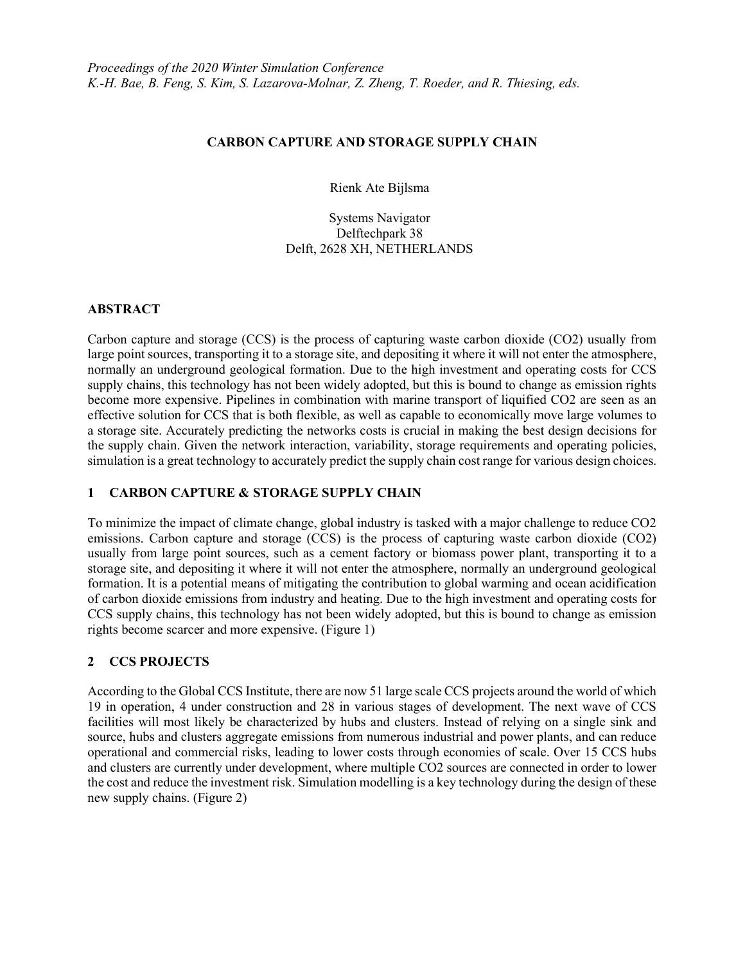## CARBON CAPTURE AND STORAGE SUPPLY CHAIN

Rienk Ate Bijlsma

Systems Navigator Delftechpark 38 Delft, 2628 XH, NETHERLANDS

### ABSTRACT

Carbon capture and storage (CCS) is the process of capturing waste carbon dioxide (CO2) usually from large point sources, transporting it to a storage site, and depositing it where it will not enter the atmosphere, normally an underground geological formation. Due to the high investment and operating costs for CCS supply chains, this technology has not been widely adopted, but this is bound to change as emission rights become more expensive. Pipelines in combination with marine transport of liquified CO2 are seen as an effective solution for CCS that is both flexible, as well as capable to economically move large volumes to a storage site. Accurately predicting the networks costs is crucial in making the best design decisions for the supply chain. Given the network interaction, variability, storage requirements and operating policies, simulation is a great technology to accurately predict the supply chain cost range for various design choices.

## 1 CARBON CAPTURE & STORAGE SUPPLY CHAIN

To minimize the impact of climate change, global industry is tasked with a major challenge to reduce CO2 emissions. Carbon capture and storage (CCS) is the process of capturing waste carbon dioxide (CO2) usually from large point sources, such as a cement factory or biomass power plant, transporting it to a storage site, and depositing it where it will not enter the atmosphere, normally an underground geological formation. It is a potential means of mitigating the contribution to global warming and ocean acidification of carbon dioxide emissions from industry and heating. Due to the high investment and operating costs for CCS supply chains, this technology has not been widely adopted, but this is bound to change as emission rights become scarcer and more expensive. (Figure 1)

# 2 CCS PROJECTS

According to the Global CCS Institute, there are now 51 large scale CCS projects around the world of which 19 in operation, 4 under construction and 28 in various stages of development. The next wave of CCS facilities will most likely be characterized by hubs and clusters. Instead of relying on a single sink and source, hubs and clusters aggregate emissions from numerous industrial and power plants, and can reduce operational and commercial risks, leading to lower costs through economies of scale. Over 15 CCS hubs and clusters are currently under development, where multiple CO2 sources are connected in order to lower the cost and reduce the investment risk. Simulation modelling is a key technology during the design of these new supply chains. (Figure 2)